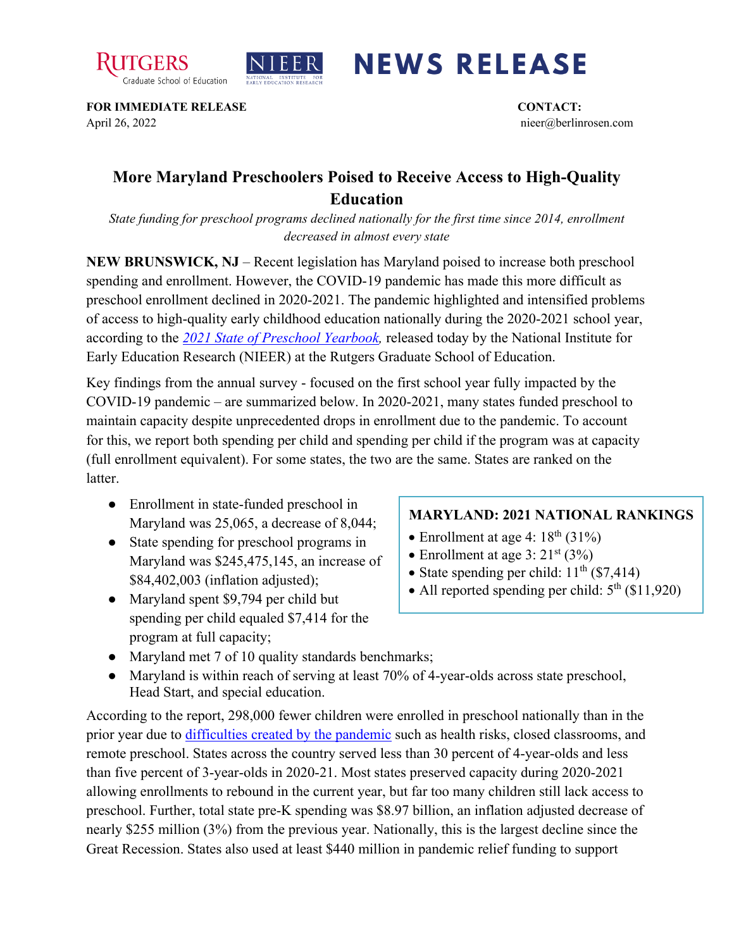



## **NEWS RELEASE**

**FOR IMMEDIATE RELEASE CONTACT:**  April 26, 2022 nieer@berlinrosen.com

## **More Maryland Preschoolers Poised to Receive Access to High-Quality Education**

*State funding for preschool programs declined nationally for the first time since 2014, enrollment decreased in almost every state*

**NEW BRUNSWICK, NJ** – Recent legislation has Maryland poised to increase both preschool spending and enrollment. However, the COVID-19 pandemic has made this more difficult as preschool enrollment declined in 2020-2021. The pandemic highlighted and intensified problems of access to high-quality early childhood education nationally during the 2020-2021 school year, according to the *[2021 State of Preschool Yearbook,](https://nieer.org/state-preschool-yearbooks-yearbook2021)* released today by the National Institute for Early Education Research (NIEER) at the Rutgers Graduate School of Education.

Key findings from the annual survey - focused on the first school year fully impacted by the COVID-19 pandemic – are summarized below. In 2020-2021, many states funded preschool to maintain capacity despite unprecedented drops in enrollment due to the pandemic. To account for this, we report both spending per child and spending per child if the program was at capacity (full enrollment equivalent). For some states, the two are the same. States are ranked on the latter.

- Enrollment in state-funded preschool in Maryland was 25,065, a decrease of 8,044;
- State spending for preschool programs in Maryland was \$245,475,145, an increase of \$84,402,003 (inflation adjusted);
- Maryland spent \$9,794 per child but spending per child equaled \$7,414 for the program at full capacity;

## **MARYLAND: 2021 NATIONAL RANKINGS**

- Enrollment at age 4:  $18<sup>th</sup>$  (31%)
- Enrollment at age  $3:21^{st}$  (3%)
- State spending per child:  $11<sup>th</sup>$  (\$7,414)
- All reported spending per child:  $5<sup>th</sup>$  (\$11,920)
- Maryland met 7 of 10 quality standards benchmarks;
- Maryland is within reach of serving at least 70% of 4-year-olds across state preschool, Head Start, and special education.

According to the report, 298,000 fewer children were enrolled in preschool nationally than in the prior year due to [difficulties created by the pandemic](https://nieer.org/wp-content/uploads/2021/02/NIEER_Seven_Impacts_of_the_Pandemic_on_Young_Children_and_their_Parents.pdf) such as health risks, closed classrooms, and remote preschool. States across the country served less than 30 percent of 4-year-olds and less than five percent of 3-year-olds in 2020-21. Most states preserved capacity during 2020-2021 allowing enrollments to rebound in the current year, but far too many children still lack access to preschool. Further, total state pre-K spending was \$8.97 billion, an inflation adjusted decrease of nearly \$255 million (3%) from the previous year. Nationally, this is the largest decline since the Great Recession. States also used at least \$440 million in pandemic relief funding to support